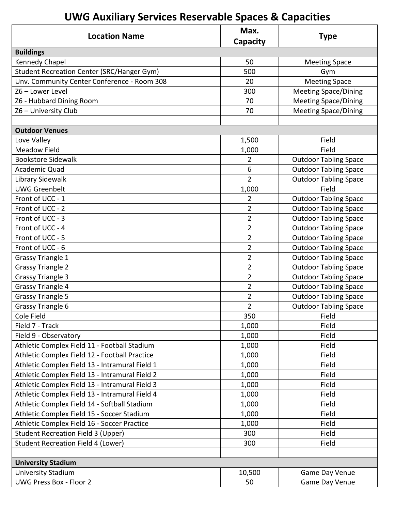## **UWG Auxiliary Services Reservable Spaces & Capacities**

| <b>Location Name</b>                           | Max.<br><b>Capacity</b> | <b>Type</b>                  |
|------------------------------------------------|-------------------------|------------------------------|
| <b>Buildings</b>                               |                         |                              |
| Kennedy Chapel                                 | 50                      | <b>Meeting Space</b>         |
| Student Recreation Center (SRC/Hanger Gym)     | 500                     | Gym                          |
| Unv. Community Center Conference - Room 308    | 20                      | <b>Meeting Space</b>         |
| Z6 - Lower Level                               | 300                     | <b>Meeting Space/Dining</b>  |
| Z6 - Hubbard Dining Room                       | 70                      | <b>Meeting Space/Dining</b>  |
| Z6 - University Club                           | 70                      | <b>Meeting Space/Dining</b>  |
|                                                |                         |                              |
| <b>Outdoor Venues</b>                          |                         |                              |
| Love Valley                                    | 1,500                   | Field                        |
| <b>Meadow Field</b>                            | 1,000                   | Field                        |
| <b>Bookstore Sidewalk</b>                      | $\overline{2}$          | <b>Outdoor Tabling Space</b> |
| Academic Quad                                  | 6                       | <b>Outdoor Tabling Space</b> |
| Library Sidewalk                               | $\overline{2}$          | <b>Outdoor Tabling Space</b> |
| <b>UWG Greenbelt</b>                           | 1,000                   | Field                        |
| Front of UCC - 1                               | 2                       | <b>Outdoor Tabling Space</b> |
| Front of UCC - 2                               | 2                       | <b>Outdoor Tabling Space</b> |
| Front of UCC - 3                               | 2                       | <b>Outdoor Tabling Space</b> |
| Front of UCC - 4                               | $\overline{2}$          | <b>Outdoor Tabling Space</b> |
| Front of UCC - 5                               | $\overline{2}$          | <b>Outdoor Tabling Space</b> |
| Front of UCC - 6                               | $\overline{2}$          | <b>Outdoor Tabling Space</b> |
| <b>Grassy Triangle 1</b>                       | 2                       | <b>Outdoor Tabling Space</b> |
| <b>Grassy Triangle 2</b>                       | $\overline{2}$          | <b>Outdoor Tabling Space</b> |
| <b>Grassy Triangle 3</b>                       | $\overline{2}$          | <b>Outdoor Tabling Space</b> |
| <b>Grassy Triangle 4</b>                       | $\overline{2}$          | <b>Outdoor Tabling Space</b> |
| <b>Grassy Triangle 5</b>                       | 2                       | <b>Outdoor Tabling Space</b> |
| Grassy Triangle 6                              | $\overline{2}$          | <b>Outdoor Tabling Space</b> |
| Cole Field                                     | 350                     | Field                        |
| Field 7 - Track                                | 1,000                   | Field                        |
| Field 9 - Observatory                          | 1,000                   | Field                        |
| Athletic Complex Field 11 - Football Stadium   | 1,000                   | Field                        |
| Athletic Complex Field 12 - Football Practice  | 1,000                   | Field                        |
| Athletic Complex Field 13 - Intramural Field 1 | 1,000                   | Field                        |
| Athletic Complex Field 13 - Intramural Field 2 | 1,000                   | Field                        |
| Athletic Complex Field 13 - Intramural Field 3 | 1,000                   | Field                        |
| Athletic Complex Field 13 - Intramural Field 4 | 1,000                   | Field                        |
| Athletic Complex Field 14 - Softball Stadium   | 1,000                   | Field                        |
| Athletic Complex Field 15 - Soccer Stadium     | 1,000                   | Field                        |
| Athletic Complex Field 16 - Soccer Practice    | 1,000                   | Field                        |
| <b>Student Recreation Field 3 (Upper)</b>      | 300                     | Field                        |
| <b>Student Recreation Field 4 (Lower)</b>      | 300                     | Field                        |
|                                                |                         |                              |
| <b>University Stadium</b>                      |                         |                              |
| University Stadium                             | 10,500                  | Game Day Venue               |
| <b>UWG Press Box - Floor 2</b>                 | 50                      | Game Day Venue               |